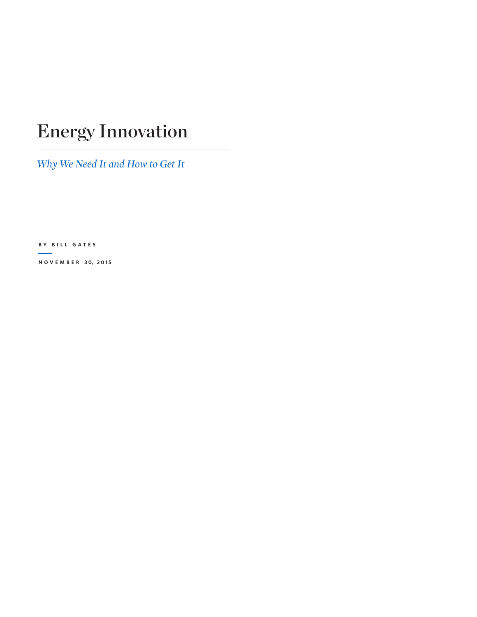# Energy Innovation

*Why We Need It and How to Get It*

**BY BILL GATES**

**N O V E M B E R 3 0, 2 0 1 5**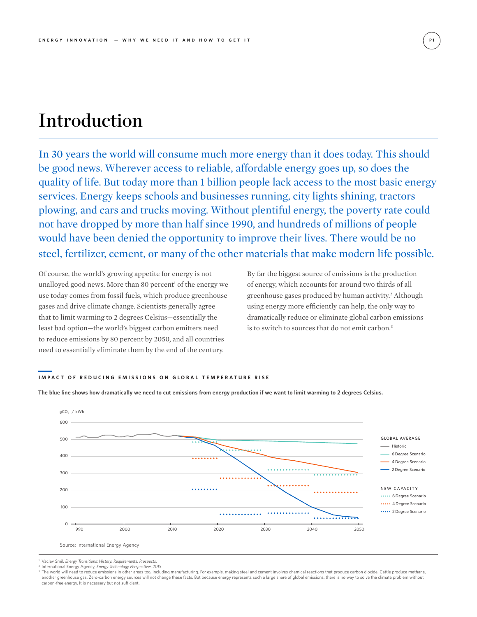## Introduction

In 30 years the world will consume much more energy than it does today. This should be good news. Wherever access to reliable, affordable energy goes up, so does the quality of life. But today more than 1 billion people lack access to the most basic energy services. Energy keeps schools and businesses running, city lights shining, tractors plowing, and cars and trucks moving. Without plentiful energy, the poverty rate could not have dropped by more than half since 1990, and hundreds of millions of people would have been denied the opportunity to improve their lives. There would be no steel, fertilizer, cement, or many of the other materials that make modern life possible.

Of course, the world's growing appetite for energy is not unalloyed good news. More than 80 percent<sup>1</sup> of the energy we use today comes from fossil fuels, which produce greenhouse gases and drive climate change. Scientists generally agree that to limit warming to 2 degrees Celsius—essentially the least bad option—the world's biggest carbon emitters need to reduce emissions by 80 percent by 2050, and all countries need to essentially eliminate them by the end of the century.

By far the biggest source of emissions is the production of energy, which accounts for around two thirds of all greenhouse gases produced by human activity.<sup>2</sup> Although using energy more efficiently can help, the only way to dramatically reduce or eliminate global carbon emissions is to switch to sources that do not emit carbon.3

## **IMPACT OF REDUCING EMISSIONS ON GLOBAL TEMPERATURE RISE**

**The blue line shows how dramatically we need to cut emissions from energy production if we want to limit warming to 2 degrees Celsius.**



<sup>1</sup> Vaclav Smil, *Energy Transitions: History, Requirements, Prospects*.

<sup>2</sup> International Energy Agency, *Energy Technology Perspectives 2015*.

<sup>3</sup> The world will need to reduce emissions in other areas too, including manufacturing. For example, making steel and cement involves chemical reactions that produce carbon dioxide. Cattle produce methane, another greenhouse gas. Zero-carbon energy sources will not change these facts. But because energy represents such a large share of global emissions, there is no way to solve the climate problem without carbon-free energy. It is necessary but not sufficient.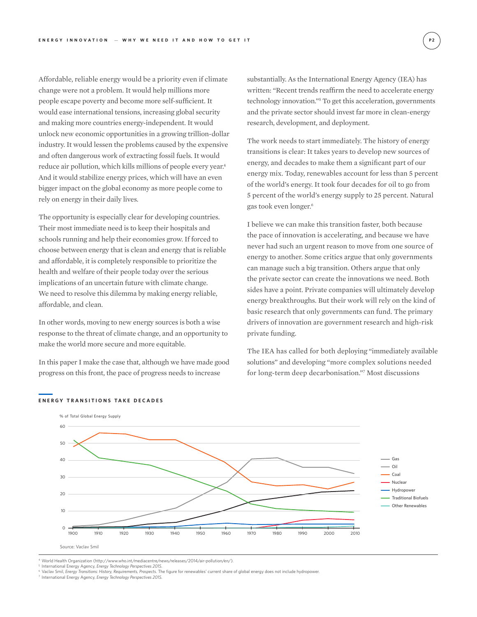Affordable, reliable energy would be a priority even if climate change were not a problem. It would help millions more people escape poverty and become more self-sufficient. It would ease international tensions, increasing global security and making more countries energy-independent. It would unlock new economic opportunities in a growing trillion-dollar industry. It would lessen the problems caused by the expensive and often dangerous work of extracting fossil fuels. It would reduce air pollution, which kills millions of people every year.<sup>4</sup> And it would stabilize energy prices, which will have an even bigger impact on the global economy as more people come to rely on energy in their daily lives.

The opportunity is especially clear for developing countries. Their most immediate need is to keep their hospitals and schools running and help their economies grow. If forced to choose between energy that is clean and energy that is reliable and affordable, it is completely responsible to prioritize the health and welfare of their people today over the serious implications of an uncertain future with climate change. We need to resolve this dilemma by making energy reliable, affordable, and clean.

In other words, moving to new energy sources is both a wise response to the threat of climate change, and an opportunity to make the world more secure and more equitable.

In this paper I make the case that, although we have made good progress on this front, the pace of progress needs to increase

substantially. As the International Energy Agency (IEA) has written: "Recent trends reaffirm the need to accelerate energy technology innovation."5 To get this acceleration, governments and the private sector should invest far more in clean-energy research, development, and deployment.

The work needs to start immediately. The history of energy transitions is clear: It takes years to develop new sources of energy, and decades to make them a significant part of our energy mix. Today, renewables account for less than 5 percent of the world's energy. It took four decades for oil to go from 5 percent of the world's energy supply to 25 percent. Natural gas took even longer.6

I believe we can make this transition faster, both because the pace of innovation is accelerating, and because we have never had such an urgent reason to move from one source of energy to another. Some critics argue that only governments can manage such a big transition. Others argue that only the private sector can create the innovations we need. Both sides have a point. Private companies will ultimately develop energy breakthroughs. But their work will rely on the kind of basic research that only governments can fund. The primary drivers of innovation are government research and high-risk private funding.

The IEA has called for both deploying "immediately available solutions" and developing "more complex solutions needed for long-term deep decarbonisation."7 Most discussions



#### **ENERGY TRANSITIONS TAKE DECADES**

<sup>4</sup> World Health Organization (http://www.who.int/mediacentre/news/releases/2014/air-pollution/en/).

<sup>s</sup> International Energy Agency, *Energy Technology Perspectives 2015.*<br><sup>6</sup> Vaclav Smil, *Energy Transitions: History, Requirements, Prospects. The figure for renewables' current share of global energy does not include hyd* 

<sup>7</sup> International Energy Agency, *Energy Technology Perspectives 2015.*

**P 2**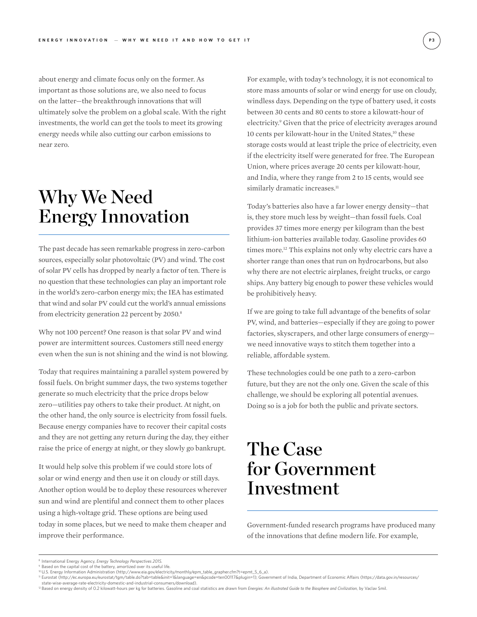about energy and climate focus only on the former. As important as those solutions are, we also need to focus on the latter—the breakthrough innovations that will ultimately solve the problem on a global scale. With the right investments, the world can get the tools to meet its growing energy needs while also cutting our carbon emissions to near zero.

## Why We Need Energy Innovation

The past decade has seen remarkable progress in zero-carbon sources, especially solar photovoltaic (PV) and wind. The cost of solar PV cells has dropped by nearly a factor of ten. There is no question that these technologies can play an important role in the world's zero-carbon energy mix; the IEA has estimated that wind and solar PV could cut the world's annual emissions from electricity generation 22 percent by 2050.<sup>8</sup>

Why not 100 percent? One reason is that solar PV and wind power are intermittent sources. Customers still need energy even when the sun is not shining and the wind is not blowing.

Today that requires maintaining a parallel system powered by fossil fuels. On bright summer days, the two systems together generate so much electricity that the price drops below zero—utilities pay others to take their product. At night, on the other hand, the only source is electricity from fossil fuels. Because energy companies have to recover their capital costs and they are not getting any return during the day, they either raise the price of energy at night, or they slowly go bankrupt.

It would help solve this problem if we could store lots of solar or wind energy and then use it on cloudy or still days. Another option would be to deploy these resources wherever sun and wind are plentiful and connect them to other places using a high-voltage grid. These options are being used today in some places, but we need to make them cheaper and improve their performance.

For example, with today's technology, it is not economical to store mass amounts of solar or wind energy for use on cloudy, windless days. Depending on the type of battery used, it costs between 30 cents and 80 cents to store a kilowatt-hour of electricity.<sup>9</sup> Given that the price of electricity averages around 10 cents per kilowatt-hour in the United States,<sup>10</sup> these storage costs would at least triple the price of electricity, even if the electricity itself were generated for free. The European Union, where prices average 20 cents per kilowatt-hour, and India, where they range from 2 to 15 cents, would see similarly dramatic increases.<sup>11</sup>

Today's batteries also have a far lower energy density—that is, they store much less by weight—than fossil fuels. Coal provides 37 times more energy per kilogram than the best lithium-ion batteries available today. Gasoline provides 60 times more.<sup>12</sup> This explains not only why electric cars have a shorter range than ones that run on hydrocarbons, but also why there are not electric airplanes, freight trucks, or cargo ships. Any battery big enough to power these vehicles would be prohibitively heavy.

If we are going to take full advantage of the benefits of solar PV, wind, and batteries—especially if they are going to power factories, skyscrapers, and other large consumers of energy we need innovative ways to stitch them together into a reliable, affordable system.

These technologies could be one path to a zero-carbon future, but they are not the only one. Given the scale of this challenge, we should be exploring all potential avenues. Doing so is a job for both the public and private sectors.

## The Case for Government Investment

Government-funded research programs have produced many of the innovations that define modern life. For example,

<sup>8</sup> International Energy Agency, *Energy Technology Perspectives 2015.*

<sup>9</sup> Based on the capital cost of the battery, amortized over its useful life*.* 

<sup>10</sup> U.S. Energy Information Administration (http://www.eia.gov/electricity/monthly/epm\_table\_grapher.cfm?t=epmt\_5\_6\_a).

<sup>11</sup> Eurostat (http://ec.europa.eu/eurostat/tgm/table.do?tab=table&init=1&language=en&pcode=ten00117&plugin=1); Government of India, Department of Economic Affairs (https://data.gov.in/resources/

state-wise-average-rate-electricity-domestic-and-industrial-consumers/download).<br><sup>12</sup> Based on energy density of 0.2 kilowatt-hours per kg for batteries. Gasoline and coal statistics are drawn from *Energies: An illustrote*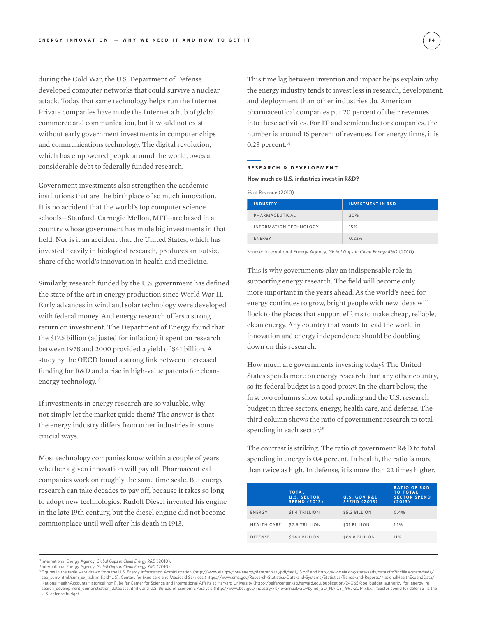during the Cold War, the U.S. Department of Defense developed computer networks that could survive a nuclear attack. Today that same technology helps run the Internet. Private companies have made the Internet a hub of global commerce and communication, but it would not exist without early government investments in computer chips and communications technology. The digital revolution, which has empowered people around the world, owes a considerable debt to federally funded research.

Government investments also strengthen the academic institutions that are the birthplace of so much innovation. It is no accident that the world's top computer science schools—Stanford, Carnegie Mellon, MIT—are based in a country whose government has made big investments in that field. Nor is it an accident that the United States, which has invested heavily in biological research, produces an outsize share of the world's innovation in health and medicine.

Similarly, research funded by the U.S. government has defined the state of the art in energy production since World War II. Early advances in wind and solar technology were developed with federal money. And energy research offers a strong return on investment. The Department of Energy found that the \$17.5 billion (adjusted for inflation) it spent on research between 1978 and 2000 provided a yield of \$41 billion. A study by the OECD found a strong link between increased funding for R&D and a rise in high-value patents for cleanenergy technology.<sup>13</sup>

If investments in energy research are so valuable, why not simply let the market guide them? The answer is that the energy industry differs from other industries in some crucial ways.

Most technology companies know within a couple of years whether a given innovation will pay off. Pharmaceutical companies work on roughly the same time scale. But energy research can take decades to pay off, because it takes so long to adopt new technologies. Rudolf Diesel invented his engine in the late 19th century, but the diesel engine did not become commonplace until well after his death in 1913.

This time lag between invention and impact helps explain why the energy industry tends to invest less in research, development, and deployment than other industries do. American pharmaceutical companies put 20 percent of their revenues into these activities. For IT and semiconductor companies, the number is around 15 percent of revenues. For energy firms, it is  $0.23$  percent. $14$ 

#### **RESEARCH & DEVELOPMENT**

**How much do U.S. industries invest in R&D?**

| % of Revenue (2010) |  |
|---------------------|--|
|---------------------|--|

| <b>INDUSTRY</b>        | <b>INVESTMENT IN R&amp;D</b> |
|------------------------|------------------------------|
| PHARMACEUTICAL         | 20%                          |
| INFORMATION TECHNOLOGY | 15%                          |
| <b>ENERGY</b>          | 0.23%                        |

Source: International Energy Agency, *Global Gaps in Clean Energy R&D* (2010)

This is why governments play an indispensable role in supporting energy research. The field will become only more important in the years ahead. As the world's need for energy continues to grow, bright people with new ideas will flock to the places that support efforts to make cheap, reliable, clean energy. Any country that wants to lead the world in innovation and energy independence should be doubling down on this research.

How much are governments investing today? The United States spends more on energy research than any other country, so its federal budget is a good proxy. In the chart below, the first two columns show total spending and the U.S. research budget in three sectors: energy, health care, and defense. The third column shows the ratio of government research to total spending in each sector.<sup>15</sup>

The contrast is striking. The ratio of government R&D to total spending in energy is 0.4 percent. In health, the ratio is more than twice as high. In defense, it is more than 22 times higher.

|                    | <b>TOTAL</b><br><b>U.S. SECTOR</b><br><b>SPEND (2013)</b> | <b>U.S. GOV R&amp;D</b><br><b>SPEND (2013)</b> | <b>RATIO OF R&amp;D</b><br><b>TO TOTAL</b><br><b>SECTOR SPEND</b><br>(2013) |
|--------------------|-----------------------------------------------------------|------------------------------------------------|-----------------------------------------------------------------------------|
| <b>ENERGY</b>      | \$1.4 TRILLION                                            | \$5.3 BILLION                                  | 0.4%                                                                        |
| <b>HEALTH CARE</b> | \$2.9 TRILLION                                            | \$31 BILLION                                   | 1.1%                                                                        |
| <b>DEFENSE</b>     | \$640 BILLION                                             | \$69.8 BILLION                                 | 11%                                                                         |
|                    |                                                           |                                                |                                                                             |

<sup>&</sup>lt;sup>13</sup> International Energy Agency, *Global Gaps in Clean Energy R&D* (2010).

<sup>14</sup> International Energy Agency, *Global Gaps in Clean Energy R&D* (2010).

<sup>&</sup>lt;sup>15</sup> Figures in the table were drawn from the U.S. Energy Information Administration (http://www.eia.gov/totalenergy/data/annual/pdf/sec1\_13.pdf and http://www.eia.gov/state/seds/data.cfm?incfile=/state/seds/ sep\_sum/html/sum\_ex\_tx.html&sid=US), Centers for Medicare and Medicaid Services (https://www.cms.gov/Research-Statistics-Data-and-Systems/Statistics-Trends-and-Reports/NationalHealthExpendData/ NationalHealthAccountsHistorical.html), Belfer Center for Science and International Affairs at Harvard University (http://belfercenter.ksg.harvard.edu/publication/24065/doe\_budget\_authority\_for\_energy\_re<br>search\_development U.S. defense budget.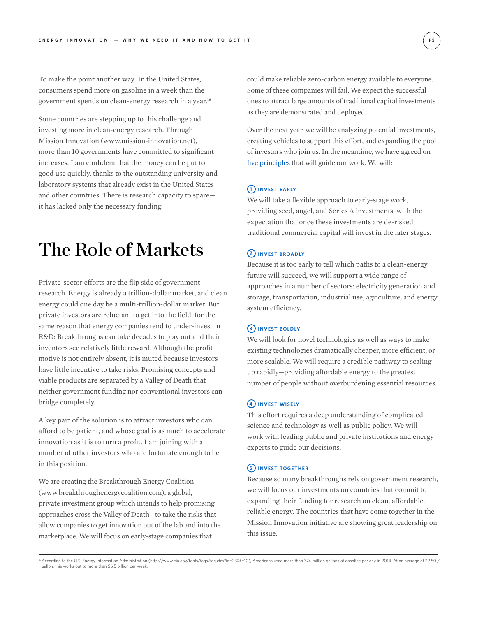To make the point another way: In the United States, consumers spend more on gasoline in a week than the government spends on clean-energy research in a year.16

Some countries are stepping up to this challenge and investing more in clean-energy research. Through Mission Innovation (www.mission-innovation.net), more than 10 governments have committed to significant increases. I am confident that the money can be put to good use quickly, thanks to the outstanding university and laboratory systems that already exist in the United States and other countries. There is research capacity to spare it has lacked only the necessary funding.

## The Role of Markets

Private-sector efforts are the flip side of government research. Energy is already a trillion-dollar market, and clean energy could one day be a multi-trillion-dollar market. But private investors are reluctant to get into the field, for the same reason that energy companies tend to under-invest in R&D: Breakthroughs can take decades to play out and their inventors see relatively little reward. Although the profit motive is not entirely absent, it is muted because investors have little incentive to take risks. Promising concepts and viable products are separated by a Valley of Death that neither government funding nor conventional investors can bridge completely.

A key part of the solution is to attract investors who can afford to be patient, and whose goal is as much to accelerate innovation as it is to turn a profit. I am joining with a number of other investors who are fortunate enough to be in this position.

We are creating the Breakthrough Energy Coalition (www.breakthroughenergycoalition.com), a global, private investment group which intends to help promising approaches cross the Valley of Death—to take the risks that allow companies to get innovation out of the lab and into the marketplace. We will focus on early-stage companies that

could make reliable zero-carbon energy available to everyone. Some of these companies will fail. We expect the successful ones to attract large amounts of traditional capital investments as they are demonstrated and deployed.

Over the next year, we will be analyzing potential investments, creating vehicles to support this effort, and expanding the pool of investors who join us. In the meantime, we have agreed on five principles that will guide our work. We will:

## **1 INVEST EARLY**

We will take a flexible approach to early-stage work, providing seed, angel, and Series A investments, with the expectation that once these investments are de-risked, traditional commercial capital will invest in the later stages.

## **2 INVEST BROADLY**

Because it is too early to tell which paths to a clean-energy future will succeed, we will support a wide range of approaches in a number of sectors: electricity generation and storage, transportation, industrial use, agriculture, and energy system efficiency.

## **3 INVEST BOLDLY**

We will look for novel technologies as well as ways to make existing technologies dramatically cheaper, more efficient, or more scalable. We will require a credible pathway to scaling up rapidly—providing affordable energy to the greatest number of people without overburdening essential resources.

## **4 INVEST WISELY**

This effort requires a deep understanding of complicated science and technology as well as public policy. We will work with leading public and private institutions and energy experts to guide our decisions.

### **5 INVEST TOGETHER**

Because so many breakthroughs rely on government research, we will focus our investments on countries that commit to expanding their funding for research on clean, affordable, reliable energy. The countries that have come together in the Mission Innovation initiative are showing great leadership on this issue.

<sup>&</sup>lt;sup>16</sup> According to the U.S. Energy Information Administration (http://www.eia.gov/tools/faqs/faq.cfm?id=23&t=10), Americans used more than 374 million gallons of gasoline per day in 2014. At an average of \$2.50 / gallon, this works out to more than \$6.5 billion per week.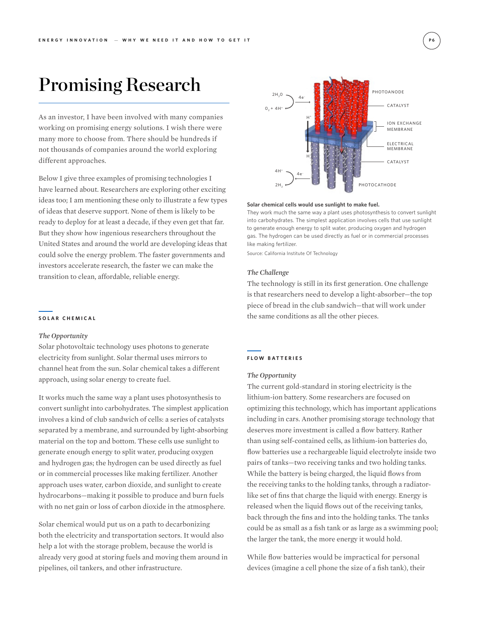## Promising Research

As an investor, I have been involved with many companies working on promising energy solutions. I wish there were many more to choose from. There should be hundreds if not thousands of companies around the world exploring different approaches.

Below I give three examples of promising technologies I have learned about. Researchers are exploring other exciting ideas too; I am mentioning these only to illustrate a few types of ideas that deserve support. None of them is likely to be ready to deploy for at least a decade, if they even get that far. But they show how ingenious researchers throughout the United States and around the world are developing ideas that could solve the energy problem. The faster governments and investors accelerate research, the faster we can make the transition to clean, affordable, reliable energy.

#### **SOLAR CHEMICAL**

### *The Opportunity*

Solar photovoltaic technology uses photons to generate electricity from sunlight. Solar thermal uses mirrors to channel heat from the sun. Solar chemical takes a different approach, using solar energy to create fuel.

It works much the same way a plant uses photosynthesis to convert sunlight into carbohydrates. The simplest application involves a kind of club sandwich of cells: a series of catalysts separated by a membrane, and surrounded by light-absorbing material on the top and bottom. These cells use sunlight to generate enough energy to split water, producing oxygen and hydrogen gas; the hydrogen can be used directly as fuel or in commercial processes like making fertilizer. Another approach uses water, carbon dioxide, and sunlight to create hydrocarbons—making it possible to produce and burn fuels with no net gain or loss of carbon dioxide in the atmosphere.

Solar chemical would put us on a path to decarbonizing both the electricity and transportation sectors. It would also help a lot with the storage problem, because the world is already very good at storing fuels and moving them around in pipelines, oil tankers, and other infrastructure.



#### **Solar chemical cells would use sunlight to make fuel.**

They work much the same way a plant uses photosynthesis to convert sunlight into carbohydrates. The simplest application involves cells that use sunlight to generate enough energy to split water, producing oxygen and hydrogen gas. The hydrogen can be used directly as fuel or in commercial processes like making fertilizer.

Source: California Institute Of Technology

#### *The Challenge*

The technology is still in its first generation. One challenge is that researchers need to develop a light-absorber—the top piece of bread in the club sandwich—that will work under the same conditions as all the other pieces.

### **FLOW BATTERIES**

#### *The Opportunity*

The current gold-standard in storing electricity is the lithium-ion battery. Some researchers are focused on optimizing this technology, which has important applications including in cars. Another promising storage technology that deserves more investment is called a flow battery. Rather than using self-contained cells, as lithium-ion batteries do, flow batteries use a rechargeable liquid electrolyte inside two pairs of tanks—two receiving tanks and two holding tanks. While the battery is being charged, the liquid flows from the receiving tanks to the holding tanks, through a radiatorlike set of fins that charge the liquid with energy. Energy is released when the liquid flows out of the receiving tanks, back through the fins and into the holding tanks. The tanks could be as small as a fish tank or as large as a swimming pool; the larger the tank, the more energy it would hold.

While flow batteries would be impractical for personal devices (imagine a cell phone the size of a fish tank), their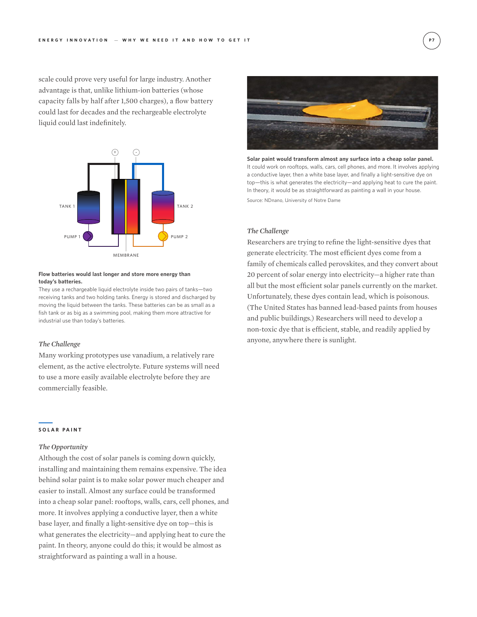scale could prove very useful for large industry. Another advantage is that, unlike lithium-ion batteries (whose capacity falls by half after 1,500 charges), a flow battery could last for decades and the rechargeable electrolyte liquid could last indefinitely.



#### **Flow batteries would last longer and store more energy than today's batteries.**

They use a rechargeable liquid electrolyte inside two pairs of tanks—two receiving tanks and two holding tanks. Energy is stored and discharged by moving the liquid between the tanks. These batteries can be as small as a fish tank or as big as a swimming pool, making them more attractive for industrial use than today's batteries.

### *The Challenge*

Many working prototypes use vanadium, a relatively rare element, as the active electrolyte. Future systems will need to use a more easily available electrolyte before they are commercially feasible.

#### **SOLAR PAINT**

### *The Opportunity*

Although the cost of solar panels is coming down quickly, installing and maintaining them remains expensive. The idea behind solar paint is to make solar power much cheaper and easier to install. Almost any surface could be transformed into a cheap solar panel: rooftops, walls, cars, cell phones, and more. It involves applying a conductive layer, then a white base layer, and finally a light-sensitive dye on top—this is what generates the electricity—and applying heat to cure the paint. In theory, anyone could do this; it would be almost as straightforward as painting a wall in a house.



**Solar paint would transform almost any surface into a cheap solar panel.**  It could work on rooftops, walls, cars, cell phones, and more. It involves applying a conductive layer, then a white base layer, and finally a light-sensitive dye on top—this is what generates the electricity—and applying heat to cure the paint. In theory, it would be as straightforward as painting a wall in your house. Source: NDnano, University of Notre Dame

### *The Challenge*

Researchers are trying to refine the light-sensitive dyes that generate electricity. The most efficient dyes come from a family of chemicals called perovskites, and they convert about 20 percent of solar energy into electricity—a higher rate than all but the most efficient solar panels currently on the market. Unfortunately, these dyes contain lead, which is poisonous. (The United States has banned lead-based paints from houses and public buildings.) Researchers will need to develop a non-toxic dye that is efficient, stable, and readily applied by anyone, anywhere there is sunlight.